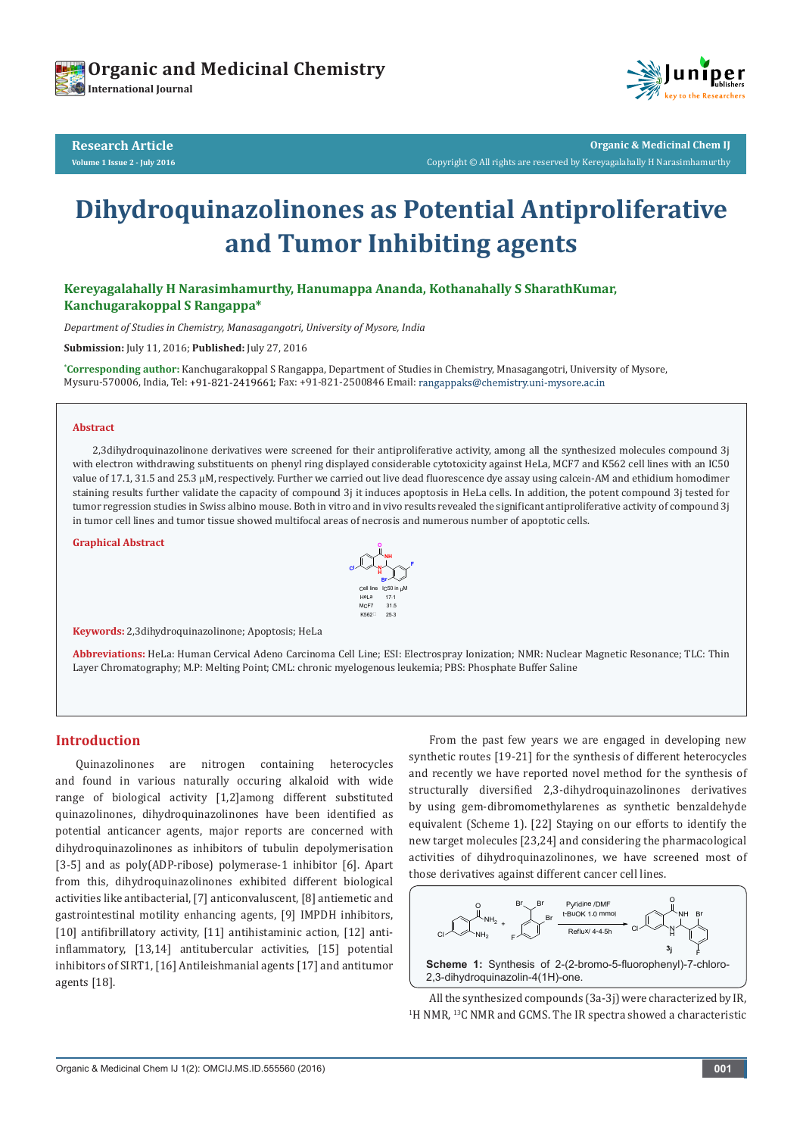



**Research Article Volume 1 Issue 2 - July 2016**

**Organic & Medicinal Chem IJ** Copyright © All rights are reserved by Kereyagalahally H Narasimhamurthy

# **Dihydroquinazolinones as Potential Antiproliferative and Tumor Inhibiting agents**

**Kereyagalahally H Narasimhamurthy, Hanumappa Ananda, Kothanahally S SharathKumar, Kanchugarakoppal S Rangappa\***

*Department of Studies in Chemistry, Manasagangotri, University of Mysore, India*

**Submission:** July 11, 2016; **Published:** July 27, 2016

**\* Corresponding author:** Kanchugarakoppal S Rangappa, Department of Studies in Chemistry, Mnasagangotri, University of Mysore, Mysuru-570006, India, Tel: +91-821-2419661; Fax: +91-821-2500846 Email: rangappaks@chemistry.uni-mysore.ac.in

#### **Abstract**

2,3dihydroquinazolinone derivatives were screened for their antiproliferative activity, among all the synthesized molecules compound 3j with electron withdrawing substituents on phenyl ring displayed considerable cytotoxicity against HeLa, MCF7 and K562 cell lines with an IC50 value of 17.1, 31.5 and 25.3 µM, respectively. Further we carried out live dead fluorescence dye assay using calcein-AM and ethidium homodimer staining results further validate the capacity of compound 3j it induces apoptosis in HeLa cells. In addition, the potent compound 3j tested for tumor regression studies in Swiss albino mouse. Both in vitro and in vivo results revealed the significant antiproliferative activity of compound 3j in tumor cell lines and tumor tissue showed multifocal areas of necrosis and numerous number of apoptotic cells.

**Graphical Abstract**



**Keywords:** 2,3dihydroquinazolinone; Apoptosis; HeLa

**Abbreviations:** HeLa: Human Cervical Adeno Carcinoma Cell Line; ESI: Electrospray Ionization; NMR: Nuclear Magnetic Resonance; TLC: Thin Layer Chromatography; M.P: Melting Point; CML: chronic myelogenous leukemia; PBS: Phosphate Buffer Saline

# **Introduction**

Quinazolinones are nitrogen containing heterocycles and found in various naturally occuring alkaloid with wide range of biological activity [1,2]among different substituted quinazolinones, dihydroquinazolinones have been identified as potential anticancer agents, major reports are concerned with dihydroquinazolinones as inhibitors of tubulin depolymerisation [3-5] and as poly(ADP-ribose) polymerase-1 inhibitor [6]. Apart from this, dihydroquinazolinones exhibited different biological activities like antibacterial, [7] anticonvaluscent, [8] antiemetic and gastrointestinal motility enhancing agents, [9] IMPDH inhibitors, [10] antifibrillatory activity, [11] antihistaminic action, [12] antiinflammatory, [13,14] antitubercular activities, [15] potential inhibitors of SIRT1, [16] Antileishmanial agents [17] and antitumor agents [18].

From the past few years we are engaged in developing new synthetic routes [19-21] for the synthesis of different heterocycles and recently we have reported novel method for the synthesis of structurally diversified 2,3-dihydroquinazolinones derivatives by using gem-dibromomethylarenes as synthetic benzaldehyde equivalent (Scheme 1). [22] Staying on our efforts to identify the new target molecules [23,24] and considering the pharmacological activities of dihydroquinazolinones, we have screened most of those derivatives against different cancer cell lines.



All the synthesized compounds (3a-3j) were characterized by IR, <sup>1</sup>H NMR, <sup>13</sup>C NMR and GCMS. The IR spectra showed a characteristic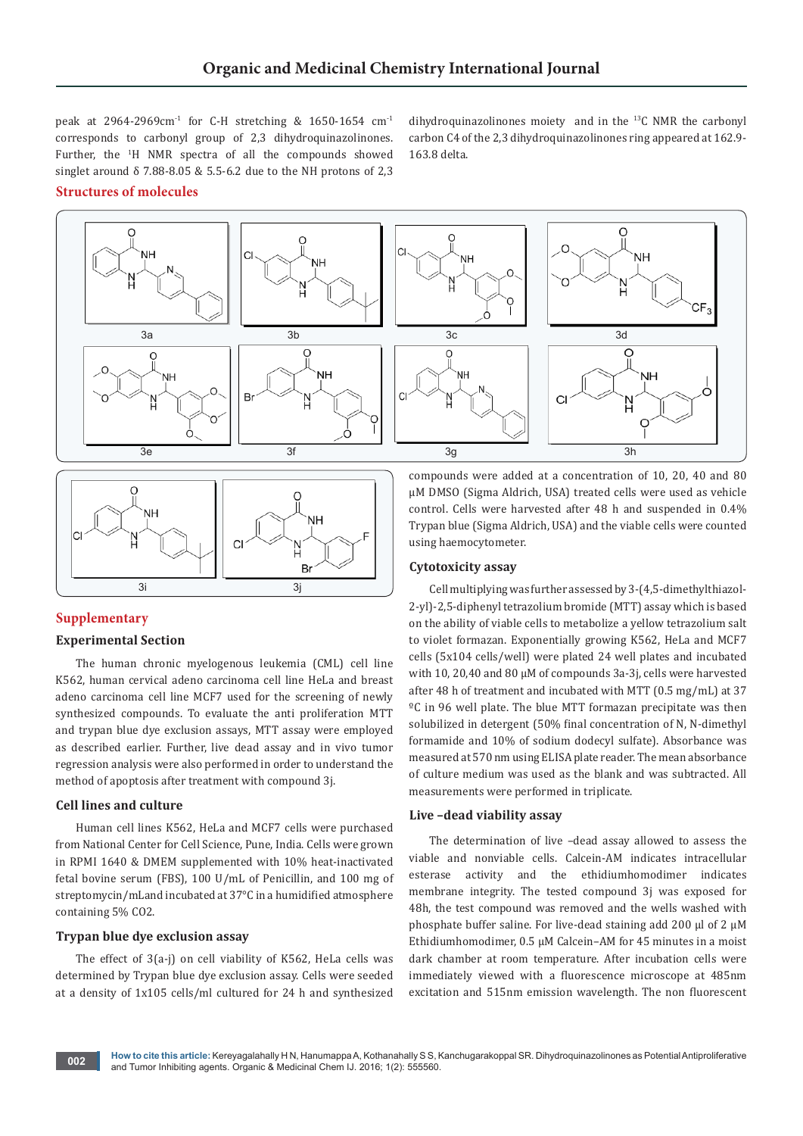peak at 2964-2969cm<sup>-1</sup> for C-H stretching & 1650-1654 cm<sup>-1</sup> corresponds to carbonyl group of 2,3 dihydroquinazolinones. Further, the <sup>1</sup>H NMR spectra of all the compounds showed singlet around  $\delta$  7.88-8.05 & 5.5-6.2 due to the NH protons of 2,3

dihydroquinazolinones moiety and in the 13C NMR the carbonyl carbon C4 of the 2,3 dihydroquinazolinones ring appeared at 162.9- 163.8 delta.

# **Structures of molecules**





# **Supplementary**

# **Experimental Section**

The human chronic myelogenous leukemia (CML) cell line K562, human cervical adeno carcinoma cell line HeLa and breast adeno carcinoma cell line MCF7 used for the screening of newly synthesized compounds. To evaluate the anti proliferation MTT and trypan blue dye exclusion assays, MTT assay were employed as described earlier. Further, live dead assay and in vivo tumor regression analysis were also performed in order to understand the method of apoptosis after treatment with compound 3j.

# **Cell lines and culture**

Human cell lines K562, HeLa and MCF7 cells were purchased from National Center for Cell Science, Pune, India. Cells were grown in RPMI 1640 & DMEM supplemented with 10% heat-inactivated fetal bovine serum (FBS), 100 U/mL of Penicillin, and 100 mg of streptomycin/mLand incubated at 37°C in a humidified atmosphere containing 5% CO2.

# **Trypan blue dye exclusion assay**

The effect of 3(a-j) on cell viability of K562, HeLa cells was determined by Trypan blue dye exclusion assay. Cells were seeded at a density of 1x105 cells/ml cultured for 24 h and synthesized

compounds were added at a concentration of 10, 20, 40 and 80 µM DMSO (Sigma Aldrich, USA) treated cells were used as vehicle control. Cells were harvested after 48 h and suspended in 0.4% Trypan blue (Sigma Aldrich, USA) and the viable cells were counted using haemocytometer.

## **Cytotoxicity assay**

Cell multiplying was further assessed by 3-(4,5-dimethylthiazol-2-yl)-2,5-diphenyl tetrazolium bromide (MTT) assay which is based on the ability of viable cells to metabolize a yellow tetrazolium salt to violet formazan. Exponentially growing K562, HeLa and MCF7 cells (5x104 cells/well) were plated 24 well plates and incubated with 10, 20,40 and 80 µM of compounds 3a-3j, cells were harvested after 48 h of treatment and incubated with MTT (0.5 mg/mL) at 37 ºC in 96 well plate. The blue MTT formazan precipitate was then solubilized in detergent (50% final concentration of N, N-dimethyl formamide and 10% of sodium dodecyl sulfate). Absorbance was measured at 570 nm using ELISA plate reader. The mean absorbance of culture medium was used as the blank and was subtracted. All measurements were performed in triplicate.

#### **Live –dead viability assay**

The determination of live –dead assay allowed to assess the viable and nonviable cells. Calcein-AM indicates intracellular esterase activity and the ethidiumhomodimer indicates membrane integrity. The tested compound 3j was exposed for 48h, the test compound was removed and the wells washed with phosphate buffer saline. For live-dead staining add 200 μl of 2 µM Ethidiumhomodimer, 0.5 µM Calcein–AM for 45 minutes in a moist dark chamber at room temperature. After incubation cells were immediately viewed with a fluorescence microscope at 485nm excitation and 515nm emission wavelength. The non fluorescent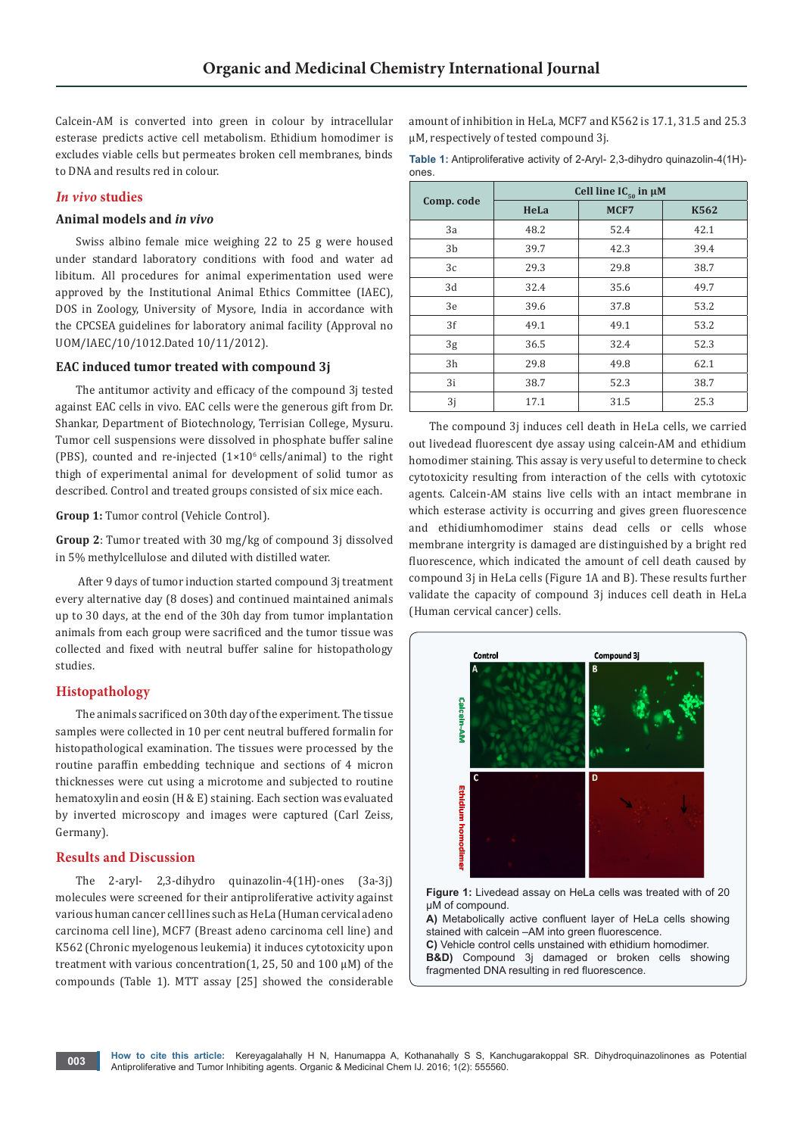Calcein-AM is converted into green in colour by intracellular esterase predicts active cell metabolism. Ethidium homodimer is excludes viable cells but permeates broken cell membranes, binds to DNA and results red in colour.

# *In vivo* **studies**

# **Animal models and** *in vivo*

Swiss albino female mice weighing 22 to 25 g were housed under standard laboratory conditions with food and water ad libitum. All procedures for animal experimentation used were approved by the Institutional Animal Ethics Committee (IAEC), DOS in Zoology, University of Mysore, India in accordance with the CPCSEA guidelines for laboratory animal facility (Approval no UOM/IAEC/10/1012.Dated 10/11/2012).

# **EAC induced tumor treated with compound 3j**

The antitumor activity and efficacy of the compound 3j tested against EAC cells in vivo. EAC cells were the generous gift from Dr. Shankar, Department of Biotechnology, Terrisian College, Mysuru. Tumor cell suspensions were dissolved in phosphate buffer saline (PBS), counted and re-injected  $(1\times10^6 \text{ cells/animal})$  to the right thigh of experimental animal for development of solid tumor as described. Control and treated groups consisted of six mice each.

#### **Group 1:** Tumor control (Vehicle Control).

**Group 2**: Tumor treated with 30 mg/kg of compound 3j dissolved in 5% methylcellulose and diluted with distilled water.

 After 9 days of tumor induction started compound 3j treatment every alternative day (8 doses) and continued maintained animals up to 30 days, at the end of the 30h day from tumor implantation animals from each group were sacrificed and the tumor tissue was collected and fixed with neutral buffer saline for histopathology studies.

# **Histopathology**

The animals sacrificed on 30th day of the experiment. The tissue samples were collected in 10 per cent neutral buffered formalin for histopathological examination. The tissues were processed by the routine paraffin embedding technique and sections of 4 micron thicknesses were cut using a microtome and subjected to routine hematoxylin and eosin (H & E) staining. Each section was evaluated by inverted microscopy and images were captured (Carl Zeiss, Germany).

# **Results and Discussion**

The 2-aryl- 2,3-dihydro quinazolin-4(1H)-ones (3a-3j) molecules were screened for their antiproliferative activity against various human cancer cell lines such as HeLa (Human cervical adeno carcinoma cell line), MCF7 (Breast adeno carcinoma cell line) and K562 (Chronic myelogenous leukemia) it induces cytotoxicity upon treatment with various concentration(1, 25, 50 and 100 μΜ) of the compounds (Table 1). MTT assay [25] showed the considerable amount of inhibition in HeLa, MCF7 and K562 is 17.1, 31.5 and 25.3 µM, respectively of tested compound 3j.

**Table 1:** Antiproliferative activity of 2-Aryl- 2,3-dihydro quinazolin-4(1H) ones

| Comp. code | Cell line $IC_{50}$ in $\mu$ M |      |      |
|------------|--------------------------------|------|------|
|            | HeLa                           | MCF7 | K562 |
| 3a         | 48.2                           | 52.4 | 42.1 |
| 3b         | 39.7                           | 42.3 | 39.4 |
| 3c         | 29.3                           | 29.8 | 38.7 |
| 3d         | 32.4                           | 35.6 | 49.7 |
| 3e         | 39.6                           | 37.8 | 53.2 |
| 3f         | 49.1                           | 49.1 | 53.2 |
| 3g         | 36.5                           | 32.4 | 52.3 |
| 3h         | 29.8                           | 49.8 | 62.1 |
| 3i         | 38.7                           | 52.3 | 38.7 |
| 3j         | 17.1                           | 31.5 | 25.3 |

The compound 3j induces cell death in HeLa cells, we carried out livedead fluorescent dye assay using calcein-AM and ethidium homodimer staining. This assay is very useful to determine to check cytotoxicity resulting from interaction of the cells with cytotoxic agents. Calcein-AM stains live cells with an intact membrane in which esterase activity is occurring and gives green fluorescence and ethidiumhomodimer stains dead cells or cells whose membrane intergrity is damaged are distinguished by a bright red fluorescence, which indicated the amount of cell death caused by compound 3j in HeLa cells (Figure 1A and B). These results further validate the capacity of compound 3j induces cell death in HeLa (Human cervical cancer) cells.



stained with calcein –AM into green fluorescence. **C)** Vehicle control cells unstained with ethidium homodimer. **B&D)** Compound 3j damaged or broken cells showing fragmented DNA resulting in red fluorescence.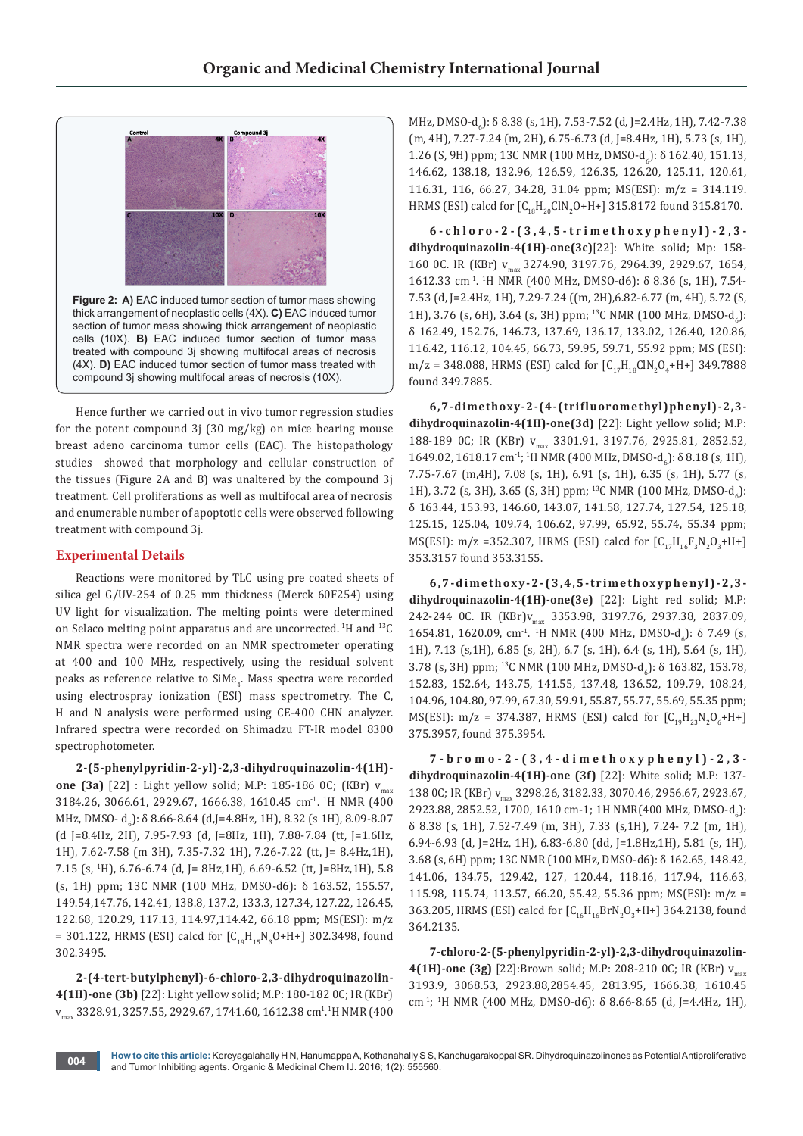

Hence further we carried out in vivo tumor regression studies for the potent compound 3j (30 mg/kg) on mice bearing mouse breast adeno carcinoma tumor cells (EAC). The histopathology studies showed that morphology and cellular construction of the tissues (Figure 2A and B) was unaltered by the compound 3j treatment. Cell proliferations as well as multifocal area of necrosis and enumerable number of apoptotic cells were observed following treatment with compound 3j.

# **Experimental Details**

Reactions were monitored by TLC using pre coated sheets of silica gel G/UV-254 of 0.25 mm thickness (Merck 60F254) using UV light for visualization. The melting points were determined on Selaco melting point apparatus and are uncorrected. 1H and 13C NMR spectra were recorded on an NMR spectrometer operating at 400 and 100 MHz, respectively, using the residual solvent peaks as reference relative to SiMe<sub>4</sub>. Mass spectra were recorded using electrospray ionization (ESI) mass spectrometry. The C, H and N analysis were performed using CE-400 CHN analyzer. Infrared spectra were recorded on Shimadzu FT-IR model 8300 spectrophotometer.

**2-(5-phenylpyridin-2-yl)-2,3-dihydroquinazolin-4(1H) one (3a)** [22] : Light yellow solid; M.P: 185-186 0C; (KBr) v<sub>max</sub> 3184.26, 3066.61, 2929.67, 1666.38, 1610.45 cm-1. 1 H NMR (400 MHz, DMSO- d<sub>6</sub>): δ 8.66-8.64 (d,J=4.8Hz, 1H), 8.32 (s 1H), 8.09-8.07 (d J=8.4Hz, 2H), 7.95-7.93 (d, J=8Hz, 1H), 7.88-7.84 (tt, J=1.6Hz, 1H), 7.62-7.58 (m 3H), 7.35-7.32 1H), 7.26-7.22 (tt, J= 8.4Hz,1H), 7.15 (s, <sup>1</sup> H), 6.76-6.74 (d, J= 8Hz,1H), 6.69-6.52 (tt, J=8Hz,1H), 5.8 (s, 1H) ppm; 13C NMR (100 MHz, DMSO-d6): δ 163.52, 155.57, 149.54,147.76, 142.41, 138.8, 137.2, 133.3, 127.34, 127.22, 126.45, 122.68, 120.29, 117.13, 114.97,114.42, 66.18 ppm; MS(ESI): m/z = 301.122, HRMS (ESI) calcd for  $[C_{19}H_{15}N_3O+H+]$  302.3498, found 302.3495.

**2-(4-tert-butylphenyl)-6-chloro-2,3-dihydroquinazolin-4(1H)-one (3b)** [22]: Light yellow solid; M.P: 180-182 0C; IR (KBr) v<sub>max</sub> 3328.91, 3257.55, 2929.67, 1741.60, 1612.38 cm<sup>1</sup>.1H NMR (400 MHz, DMSO-d<sub>6</sub>): δ 8.38 (s, 1H), 7.53-7.52 (d, J=2.4Hz, 1H), 7.42-7.38 (m, 4H), 7.27-7.24 (m, 2H), 6.75-6.73 (d, J=8.4Hz, 1H), 5.73 (s, 1H), 1.26 (S, 9H) ppm; 13C NMR (100 MHz, DMSO-d<sub>6</sub>): δ 162.40, 151.13, 146.62, 138.18, 132.96, 126.59, 126.35, 126.20, 125.11, 120.61, 116.31, 116, 66.27, 34.28, 31.04 ppm; MS(ESI): m/z = 314.119. HRMS (ESI) calcd for  $[C_{18}H_{20}GIN_2O+H+]$  315.8172 found 315.8170.

**6-chloro-2-(3,4,5-trimethoxyphenyl)-2,3 dihydroquinazolin-4(1H)-one(3c)**[22]: White solid; Mp: 158- 160 0C. IR (KBr) v<sub>max</sub> 3274.90, 3197.76, 2964.39, 2929.67, 1654, 1612.33 cm-1. 1 H NMR (400 MHz, DMSO-d6): δ 8.36 (s, 1H), 7.54- 7.53 (d, J=2.4Hz, 1H), 7.29-7.24 ((m, 2H),6.82-6.77 (m, 4H), 5.72 (S, 1H), 3.76 (s, 6H), 3.64 (s, 3H) ppm; <sup>13</sup>C NMR (100 MHz, DMSO-d<sub>6</sub>): δ 162.49, 152.76, 146.73, 137.69, 136.17, 133.02, 126.40, 120.86, 116.42, 116.12, 104.45, 66.73, 59.95, 59.71, 55.92 ppm; MS (ESI):  $m/z = 348.088$ , HRMS (ESI) calcd for  $[C_{17}H_{18}CIN_2O_4 + H+J_349.7888]$ found 349.7885.

**6,7-dimethoxy-2-(4-(trifluoromethyl)phenyl)-2,3 dihydroquinazolin-4(1H)-one(3d)** [22]: Light yellow solid; M.P: 188-189 OC; IR (KBr) v<sub>max</sub> 3301.91, 3197.76, 2925.81, 2852.52, 1649.02, 1618.17 cm<sup>-1</sup>; <sup>1</sup>H NMR (400 MHz, DMSO-d<sub>6</sub>): δ 8.18 (s, 1H), 7.75-7.67 (m,4H), 7.08 (s, 1H), 6.91 (s, 1H), 6.35 (s, 1H), 5.77 (s, 1H), 3.72 (s, 3H), 3.65 (S, 3H) ppm; <sup>13</sup>C NMR (100 MHz, DMSO-d<sub>6</sub>): δ 163.44, 153.93, 146.60, 143.07, 141.58, 127.74, 127.54, 125.18, 125.15, 125.04, 109.74, 106.62, 97.99, 65.92, 55.74, 55.34 ppm; MS(ESI): m/z =352.307, HRMS (ESI) calcd for  $[C_{17}H_{16}F_3N_2O_3+H^+]$ 353.3157 found 353.3155.

**6,7-dimethoxy-2-(3,4,5-trimethoxyphenyl)-2,3 dihydroquinazolin-4(1H)-one(3e)** [22]: Light red solid; M.P: 242-244 OC. IR (KBr)v<sub>max</sub> 3353.98, 3197.76, 2937.38, 2837.09, 1654.81, 1620.09, cm<sup>-1</sup>. <sup>1</sup>H NMR (400 MHz, DMSO-d<sub>6</sub>): δ 7.49 (s, 1H), 7.13 (s,1H), 6.85 (s, 2H), 6.7 (s, 1H), 6.4 (s, 1H), 5.64 (s, 1H), 3.78 (s, 3H) ppm; <sup>13</sup>C NMR (100 MHz, DMSO-d<sub>6</sub>): δ 163.82, 153.78, 152.83, 152.64, 143.75, 141.55, 137.48, 136.52, 109.79, 108.24, 104.96, 104.80, 97.99, 67.30, 59.91, 55.87, 55.77, 55.69, 55.35 ppm; MS(ESI): m/z = 374.387, HRMS (ESI) calcd for  $[C_{19}H_{23}N_2O_6 + H^+]$ 375.3957, found 375.3954.

**7-bromo-2-(3,4-dimethoxyphenyl)-2,3 dihydroquinazolin-4(1H)-one (3f)** [22]: White solid; M.P: 137- 138 0C; IR (KBr) v<sub>max</sub> 3298.26, 3182.33, 3070.46, 2956.67, 2923.67, 2923.88, 2852.52, 1700, 1610 cm-1; 1H NMR(400 MHz, DMSO-d<sub>6</sub>): δ 8.38 (s, 1H), 7.52-7.49 (m, 3H), 7.33 (s,1H), 7.24- 7.2 (m, 1H), 6.94-6.93 (d, J=2Hz, 1H), 6.83-6.80 (dd, J=1.8Hz,1H), 5.81 (s, 1H), 3.68 (s, 6H) ppm; 13C NMR (100 MHz, DMSO-d6): δ 162.65, 148.42, 141.06, 134.75, 129.42, 127, 120.44, 118.16, 117.94, 116.63, 115.98, 115.74, 113.57, 66.20, 55.42, 55.36 ppm; MS(ESI): m/z = 363.205, HRMS (ESI) calcd for  $[C_{16}H_{16}BrN_2O_3+H+]$  364.2138, found 364.2135.

**7-chloro-2-(5-phenylpyridin-2-yl)-2,3-dihydroquinazolin-4(1H)-one (3g)** [22]:Brown solid; M.P: 208-210 0C; IR (KBr)  $v_{max}$ 3193.9, 3068.53, 2923.88,2854.45, 2813.95, 1666.38, 1610.45 cm-1; 1 H NMR (400 MHz, DMSO-d6): δ 8.66-8.65 (d, J=4.4Hz, 1H),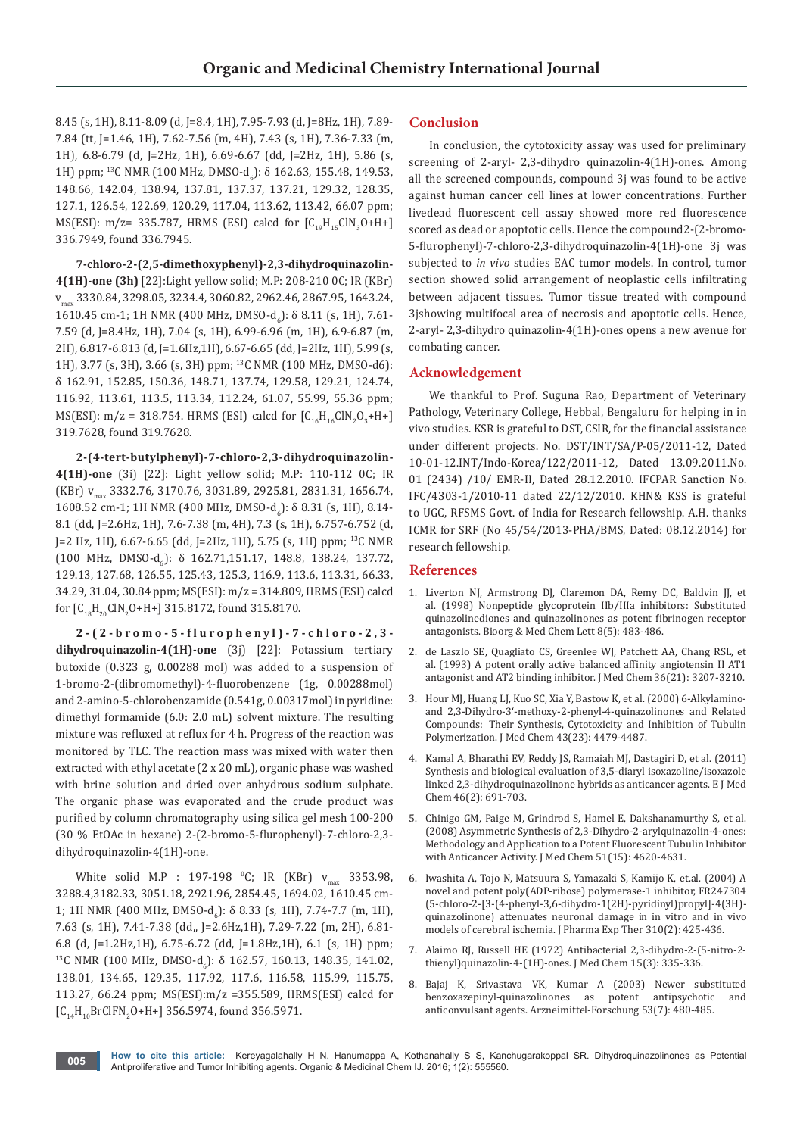8.45 (s, 1H), 8.11-8.09 (d, J=8.4, 1H), 7.95-7.93 (d, J=8Hz, 1H), 7.89- 7.84 (tt, J=1.46, 1H), 7.62-7.56 (m, 4H), 7.43 (s, 1H), 7.36-7.33 (m, 1H), 6.8-6.79 (d, J=2Hz, 1H), 6.69-6.67 (dd, J=2Hz, 1H), 5.86 (s, 1H) ppm; <sup>13</sup>C NMR (100 MHz, DMSO-d<sub>6</sub>): δ 162.63, 155.48, 149.53, 148.66, 142.04, 138.94, 137.81, 137.37, 137.21, 129.32, 128.35, 127.1, 126.54, 122.69, 120.29, 117.04, 113.62, 113.42, 66.07 ppm; MS(ESI): m/z= 335.787, HRMS (ESI) calcd for  $[C_{19}H_{15}CIN_3O+H+]$ 336.7949, found 336.7945.

**7-chloro-2-(2,5-dimethoxyphenyl)-2,3-dihydroquinazolin-4(1H)-one (3h)** [22]:Light yellow solid; M.P: 208-210 0C; IR (KBr) vmax 3330.84, 3298.05, 3234.4, 3060.82, 2962.46, 2867.95, 1643.24, 1610.45 cm-1; 1H NMR (400 MHz, DMSO-d<sub>6</sub>): δ 8.11 (s, 1H), 7.61-7.59 (d, J=8.4Hz, 1H), 7.04 (s, 1H), 6.99-6.96 (m, 1H), 6.9-6.87 (m, 2H), 6.817-6.813 (d, J=1.6Hz,1H), 6.67-6.65 (dd, J=2Hz, 1H), 5.99 (s, 1H), 3.77 (s, 3H), 3.66 (s, 3H) ppm; 13C NMR (100 MHz, DMSO-d6): δ 162.91, 152.85, 150.36, 148.71, 137.74, 129.58, 129.21, 124.74, 116.92, 113.61, 113.5, 113.34, 112.24, 61.07, 55.99, 55.36 ppm; MS(ESI): m/z = 318.754. HRMS (ESI) calcd for  $[C_{16}H_{16}CIN_2O_3+H+]$ 319.7628, found 319.7628.

**2-(4-tert-butylphenyl)-7-chloro-2,3-dihydroquinazolin-4(1H)-one** (3i) [22]: Light yellow solid; M.P: 110-112 0C; IR (KBr) v<sub>max</sub> 3332.76, 3170.76, 3031.89, 2925.81, 2831.31, 1656.74, 1608.52 cm-1; 1H NMR (400 MHz, DMSO-d<sub>6</sub>): δ 8.31 (s, 1H), 8.14-8.1 (dd, J=2.6Hz, 1H), 7.6-7.38 (m, 4H), 7.3 (s, 1H), 6.757-6.752 (d, J=2 Hz, 1H), 6.67-6.65 (dd, J=2Hz, 1H), 5.75 (s, 1H) ppm; 13C NMR  $(100 \text{ MHz}, \text{ DMSO-d}_6): \delta \ 162.71,151.17, \ 148.8, \ 138.24, \ 137.72,$ 129.13, 127.68, 126.55, 125.43, 125.3, 116.9, 113.6, 113.31, 66.33, 34.29, 31.04, 30.84 ppm; MS(ESI): m/z = 314.809, HRMS (ESI) calcd for  $[C_{18}H_{20}GIN_2O+H+]315.8172$ , found 315.8170.

**2-(2-bromo-5-flurophenyl)-7-chloro-2,3 dihydroquinazolin-4(1H)-one** (3j) [22]: Potassium tertiary butoxide (0.323 g, 0.00288 mol) was added to a suspension of 1-bromo-2-(dibromomethyl)-4-fluorobenzene (1g, 0.00288mol) and 2-amino-5-chlorobenzamide (0.541g, 0.00317mol) in pyridine: dimethyl formamide (6.0: 2.0 mL) solvent mixture. The resulting mixture was refluxed at reflux for 4 h. Progress of the reaction was monitored by TLC. The reaction mass was mixed with water then extracted with ethyl acetate (2 x 20 mL), organic phase was washed with brine solution and dried over anhydrous sodium sulphate. The organic phase was evaporated and the crude product was purified by column chromatography using silica gel mesh 100-200 (30 % EtOAc in hexane) 2-(2-bromo-5-flurophenyl)-7-chloro-2,3 dihydroquinazolin-4(1H)-one.

White solid M.P : 197-198 °C; IR (KBr) v<sub>max</sub> 3353.98, 3288.4,3182.33, 3051.18, 2921.96, 2854.45, 1694.02, 1610.45 cm-1; 1H NMR (400 MHz, DMSO-d<sub>6</sub>): δ 8.33 (s, 1H), 7.74-7.7 (m, 1H), 7.63 (s, 1H), 7.41-7.38 (dd,, J=2.6Hz,1H), 7.29-7.22 (m, 2H), 6.81- 6.8 (d, J=1.2Hz,1H), 6.75-6.72 (dd, J=1.8Hz,1H), 6.1 (s, 1H) ppm; <sup>13</sup>C NMR (100 MHz, DMSO-d<sub>6</sub>): δ 162.57, 160.13, 148.35, 141.02, 138.01, 134.65, 129.35, 117.92, 117.6, 116.58, 115.99, 115.75, 113.27, 66.24 ppm; MS(ESI):m/z =355.589, HRMS(ESI) calcd for  $[C_{14}H_{10}BrCIFN_2O+H+J]$  356.5974, found 356.5971.

# **Conclusion**

In conclusion, the cytotoxicity assay was used for preliminary screening of 2-aryl- 2,3-dihydro quinazolin-4(1H)-ones. Among all the screened compounds, compound 3j was found to be active against human cancer cell lines at lower concentrations. Further livedead fluorescent cell assay showed more red fluorescence scored as dead or apoptotic cells. Hence the compound2-(2-bromo-5-flurophenyl)-7-chloro-2,3-dihydroquinazolin-4(1H)-one 3j was subjected to *in vivo* studies EAC tumor models. In control, tumor section showed solid arrangement of neoplastic cells infiltrating between adjacent tissues. Tumor tissue treated with compound 3jshowing multifocal area of necrosis and apoptotic cells. Hence, 2-aryl- 2,3-dihydro quinazolin-4(1H)-ones opens a new avenue for combating cancer.

#### **Acknowledgement**

We thankful to Prof. Suguna Rao, Department of Veterinary Pathology, Veterinary College, Hebbal, Bengaluru for helping in in vivo studies. KSR is grateful to DST, CSIR, for the financial assistance under different projects. No. DST/INT/SA/P-05/2011-12, Dated 10-01-12.INT/Indo-Korea/122/2011-12, Dated 13.09.2011.No. 01 (2434) /10/ EMR-II, Dated 28.12.2010. IFCPAR Sanction No. IFC/4303-1/2010-11 dated 22/12/2010. KHN& KSS is grateful to UGC, RFSMS Govt. of India for Research fellowship. A.H. thanks ICMR for SRF (No 45/54/2013-PHA/BMS, Dated: 08.12.2014) for research fellowship.

### **References**

- 1. [Liverton NJ, Armstrong DJ, Claremon DA, Remy DC, Baldvin JJ, et](http://www.ncbi.nlm.nih.gov/pubmed/9871603)  [al. \(1998\) Nonpeptide glycoprotein IIb/IIIa inhibitors: Substituted](http://www.ncbi.nlm.nih.gov/pubmed/9871603)  [quinazolinediones and quinazolinones as potent fibrinogen receptor](http://www.ncbi.nlm.nih.gov/pubmed/9871603)  [antagonists. Bioorg & Med Chem Lett 8\(5\): 483-486.](http://www.ncbi.nlm.nih.gov/pubmed/9871603)
- 2. [de Laszlo SE, Quagliato CS, Greenlee WJ, Patchett AA, Chang RSL, et](http://www.ncbi.nlm.nih.gov/pubmed/8230109)  [al. \(1993\) A potent orally active balanced affinity angiotensin II AT1](http://www.ncbi.nlm.nih.gov/pubmed/8230109)  [antagonist and AT2 binding inhibitor. J Med Chem 36\(21\): 3207-3210.](http://www.ncbi.nlm.nih.gov/pubmed/8230109)
- 3. [Hour MJ, Huang LJ, Kuo SC, Xia Y, Bastow K, et al. \(2000\) 6-Alkylamino](http://www.ncbi.nlm.nih.gov/pubmed/11087572)[and 2,3-Dihydro-3'-methoxy-2-phenyl-4-quinazolinones and Related](http://www.ncbi.nlm.nih.gov/pubmed/11087572)  [Compounds:  Their Synthesis, Cytotoxicity and Inhibition of Tubulin](http://www.ncbi.nlm.nih.gov/pubmed/11087572)  [Polymerization. J Med Chem 43\(23\): 4479-4487](http://www.ncbi.nlm.nih.gov/pubmed/11087572).
- 4. [Kamal A, Bharathi EV, Reddy JS, Ramaiah MJ, Dastagiri D, et al. \(2011\)](http://www.ncbi.nlm.nih.gov/pubmed/21194809)  [Synthesis and biological evaluation of 3,5-diaryl isoxazoline/isoxazole](http://www.ncbi.nlm.nih.gov/pubmed/21194809)  [linked 2,3-dihydroquinazolinone hybrids as anticancer agents. E J Med](http://www.ncbi.nlm.nih.gov/pubmed/21194809)  [Chem 46\(2\): 691-703.](http://www.ncbi.nlm.nih.gov/pubmed/21194809)
- 5. [Chinigo GM, Paige M, Grindrod S, Hamel E, Dakshanamurthy S, et al.](http://www.ncbi.nlm.nih.gov/pubmed/18610995)  [\(2008\) Asymmetric Synthesis of 2,3-Dihydro-2-arylquinazolin-4-ones:](http://www.ncbi.nlm.nih.gov/pubmed/18610995)  [Methodology and Application to a Potent Fluorescent Tubulin Inhibitor](http://www.ncbi.nlm.nih.gov/pubmed/18610995)  [with Anticancer Activity. J Med Chem 51\(15\): 4620-4631.](http://www.ncbi.nlm.nih.gov/pubmed/18610995)
- 6. [Iwashita A, Tojo N, Matsuura S, Yamazaki S, Kamijo K, et.al. \(2004\) A](http://www.ncbi.nlm.nih.gov/pubmed/15075382)  [novel and potent poly\(ADP-ribose\) polymerase-1 inhibitor, FR247304](http://www.ncbi.nlm.nih.gov/pubmed/15075382)  [\(5-chloro-2-\[3-\(4-phenyl-3,6-dihydro-1\(2H\)-pyridinyl\)propyl\]-4\(3H\)](http://www.ncbi.nlm.nih.gov/pubmed/15075382) [quinazolinone\) attenuates neuronal damage in in vitro and in vivo](http://www.ncbi.nlm.nih.gov/pubmed/15075382)  [models of cerebral ischemia. J Pharma Exp Ther 310\(2\): 425-436.](http://www.ncbi.nlm.nih.gov/pubmed/15075382)
- 7. [Alaimo RJ, Russell HE \(1972\) Antibacterial 2,3-dihydro-2-\(5-nitro-2](http://www.ncbi.nlm.nih.gov/pubmed/4621761) [thienyl\)quinazolin-4-\(1H\)-ones. J Med Chem 15\(3\): 335-336.](http://www.ncbi.nlm.nih.gov/pubmed/4621761)
- 8. [Bajaj K, Srivastava VK, Kumar A \(2003\) Newer substituted](http://www.ncbi.nlm.nih.gov/pubmed/12918213)  [benzoxazepinyl-quinazolinones as potent antipsychotic and](http://www.ncbi.nlm.nih.gov/pubmed/12918213)  [anticonvulsant agents. Arzneimittel-Forschung 53\(7\): 480-485.](http://www.ncbi.nlm.nih.gov/pubmed/12918213)